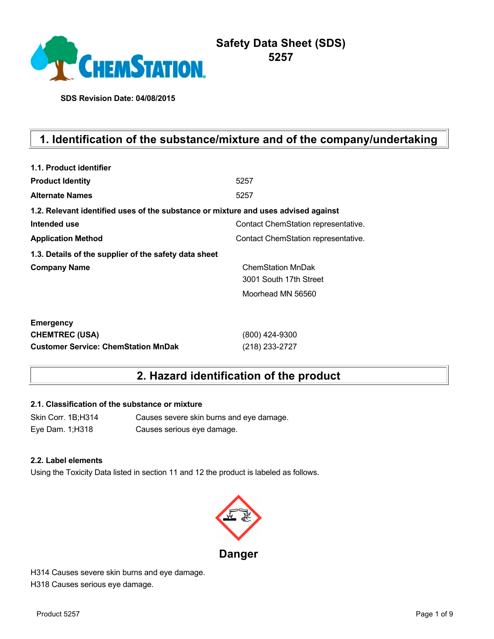

**SDS Revision Date: 04/08/2015**

# **1. Identification of the substance/mixture and of the company/undertaking**

| 1.1. Product identifier                                                            |                                     |
|------------------------------------------------------------------------------------|-------------------------------------|
| <b>Product Identity</b>                                                            | 5257                                |
| <b>Alternate Names</b>                                                             | 5257                                |
| 1.2. Relevant identified uses of the substance or mixture and uses advised against |                                     |
| Intended use                                                                       | Contact ChemStation representative. |
| <b>Application Method</b>                                                          | Contact ChemStation representative. |
| 1.3. Details of the supplier of the safety data sheet                              |                                     |
| <b>Company Name</b>                                                                | <b>ChemStation MnDak</b>            |
|                                                                                    | 3001 South 17th Street              |
|                                                                                    | Moorhead MN 56560                   |
| <b>Emergency</b>                                                                   |                                     |
| <b>CHEMTREC (USA)</b>                                                              | (800) 424-9300                      |
| <b>Customer Service: ChemStation MnDak</b>                                         | (218) 233-2727                      |

# **2. Hazard identification of the product**

## **2.1. Classification of the substance or mixture**

Skin Corr. 1B;H314 Causes severe skin burns and eye damage. Eye Dam. 1;H318 Causes serious eye damage.

#### **2.2. Label elements**

Using the Toxicity Data listed in section 11 and 12 the product is labeled as follows.



H314 Causes severe skin burns and eye damage. H318 Causes serious eye damage.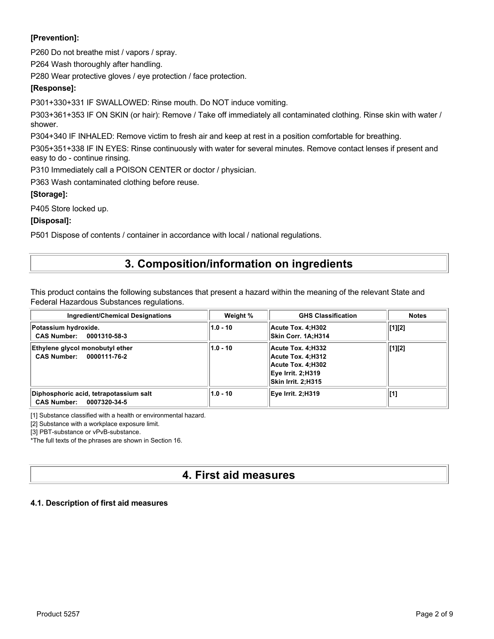# **[Prevention]:**

P260 Do not breathe mist / vapors / spray.

P264 Wash thoroughly after handling.

P280 Wear protective gloves / eye protection / face protection.

## **[Response]:**

P301+330+331 IF SWALLOWED: Rinse mouth. Do NOT induce vomiting.

P303+361+353 IF ON SKIN (or hair): Remove / Take off immediately all contaminated clothing. Rinse skin with water / shower.

P304+340 IF INHALED: Remove victim to fresh air and keep at rest in a position comfortable for breathing.

P305+351+338 IF IN EYES: Rinse continuously with water for several minutes. Remove contact lenses if present and easy to do - continue rinsing.

P310 Immediately call a POISON CENTER or doctor / physician.

P363 Wash contaminated clothing before reuse.

## **[Storage]:**

P405 Store locked up.

## **[Disposal]:**

P501 Dispose of contents / container in accordance with local / national regulations.

# **3. Composition/information on ingredients**

This product contains the following substances that present a hazard within the meaning of the relevant State and Federal Hazardous Substances regulations.

| Ingredient/Chemical Designations                                             | Weight %   | <b>GHS Classification</b>                                                                              | <b>Notes</b> |
|------------------------------------------------------------------------------|------------|--------------------------------------------------------------------------------------------------------|--------------|
| Potassium hydroxide.<br>CAS Number: 0001310-58-3                             | $1.0 - 10$ | Acute Tox. 4:H302<br>Skin Corr. 1A:H314                                                                | [1][2]       |
| Ethylene glycol monobutyl ether<br>CAS Number: 0000111-76-2                  | $1.0 - 10$ | Acute Tox. 4:H332<br>Acute Tox. 4:H312<br>Acute Tox. 4:H302<br>Eve Irrit. 2:H319<br>Skin Irrit. 2:H315 | [1][2]       |
| Diphosphoric acid, tetrapotassium salt<br><b>CAS Number:</b><br>0007320-34-5 | $1.0 - 10$ | Eye Irrit. 2;H319                                                                                      | [1]          |

[1] Substance classified with a health or environmental hazard.

[2] Substance with a workplace exposure limit.

[3] PBT-substance or vPvB-substance.

\*The full texts of the phrases are shown in Section 16.

# **4. First aid measures**

## **4.1. Description of first aid measures**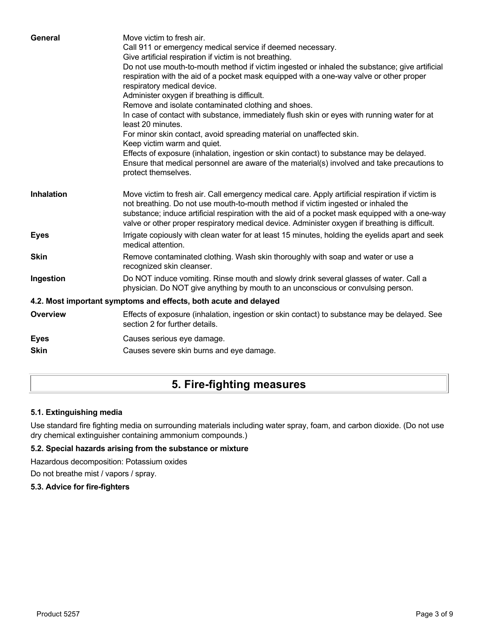| General           | Move victim to fresh air.<br>Call 911 or emergency medical service if deemed necessary.<br>Give artificial respiration if victim is not breathing.                                                                                                                                                                                                                                        |
|-------------------|-------------------------------------------------------------------------------------------------------------------------------------------------------------------------------------------------------------------------------------------------------------------------------------------------------------------------------------------------------------------------------------------|
|                   | Do not use mouth-to-mouth method if victim ingested or inhaled the substance; give artificial<br>respiration with the aid of a pocket mask equipped with a one-way valve or other proper<br>respiratory medical device.                                                                                                                                                                   |
|                   | Administer oxygen if breathing is difficult.                                                                                                                                                                                                                                                                                                                                              |
|                   | Remove and isolate contaminated clothing and shoes.                                                                                                                                                                                                                                                                                                                                       |
|                   | In case of contact with substance, immediately flush skin or eyes with running water for at<br>least 20 minutes.                                                                                                                                                                                                                                                                          |
|                   | For minor skin contact, avoid spreading material on unaffected skin.                                                                                                                                                                                                                                                                                                                      |
|                   | Keep victim warm and quiet.                                                                                                                                                                                                                                                                                                                                                               |
|                   | Effects of exposure (inhalation, ingestion or skin contact) to substance may be delayed.<br>Ensure that medical personnel are aware of the material(s) involved and take precautions to<br>protect themselves.                                                                                                                                                                            |
| <b>Inhalation</b> | Move victim to fresh air. Call emergency medical care. Apply artificial respiration if victim is<br>not breathing. Do not use mouth-to-mouth method if victim ingested or inhaled the<br>substance; induce artificial respiration with the aid of a pocket mask equipped with a one-way<br>valve or other proper respiratory medical device. Administer oxygen if breathing is difficult. |
| <b>Eyes</b>       | Irrigate copiously with clean water for at least 15 minutes, holding the eyelids apart and seek<br>medical attention.                                                                                                                                                                                                                                                                     |
| <b>Skin</b>       | Remove contaminated clothing. Wash skin thoroughly with soap and water or use a<br>recognized skin cleanser.                                                                                                                                                                                                                                                                              |
| Ingestion         | Do NOT induce vomiting. Rinse mouth and slowly drink several glasses of water. Call a<br>physician. Do NOT give anything by mouth to an unconscious or convulsing person.                                                                                                                                                                                                                 |
|                   | 4.2. Most important symptoms and effects, both acute and delayed                                                                                                                                                                                                                                                                                                                          |
| <b>Overview</b>   | Effects of exposure (inhalation, ingestion or skin contact) to substance may be delayed. See<br>section 2 for further details.                                                                                                                                                                                                                                                            |
| <b>Eyes</b>       | Causes serious eye damage.                                                                                                                                                                                                                                                                                                                                                                |
| <b>Skin</b>       | Causes severe skin burns and eye damage.                                                                                                                                                                                                                                                                                                                                                  |
|                   |                                                                                                                                                                                                                                                                                                                                                                                           |

# **5. Fire-fighting measures**

## **5.1. Extinguishing media**

Use standard fire fighting media on surrounding materials including water spray, foam, and carbon dioxide. (Do not use dry chemical extinguisher containing ammonium compounds.)

# **5.2. Special hazards arising from the substance or mixture**

Hazardous decomposition: Potassium oxides

Do not breathe mist / vapors / spray.

### **5.3. Advice for fire-fighters**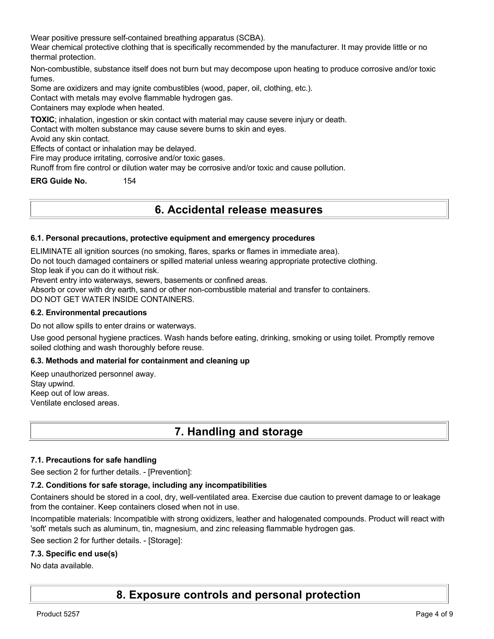Wear positive pressure self-contained breathing apparatus (SCBA).

Wear chemical protective clothing that is specifically recommended by the manufacturer. It may provide little or no thermal protection.

Non-combustible, substance itself does not burn but may decompose upon heating to produce corrosive and/or toxic fumes.

Some are oxidizers and may ignite combustibles (wood, paper, oil, clothing, etc.).

Contact with metals may evolve flammable hydrogen gas.

Containers may explode when heated.

**TOXIC**; inhalation, ingestion or skin contact with material may cause severe injury or death.

Contact with molten substance may cause severe burns to skin and eyes.

Avoid any skin contact.

Effects of contact or inhalation may be delayed.

Fire may produce irritating, corrosive and/or toxic gases.

Runoff from fire control or dilution water may be corrosive and/or toxic and cause pollution.

**ERG Guide No.** 154

# **6. Accidental release measures**

#### **6.1. Personal precautions, protective equipment and emergency procedures**

ELIMINATE all ignition sources (no smoking, flares, sparks or flames in immediate area).

Do not touch damaged containers or spilled material unless wearing appropriate protective clothing.

Stop leak if you can do it without risk.

Prevent entry into waterways, sewers, basements or confined areas.

Absorb or cover with dry earth, sand or other non-combustible material and transfer to containers.

DO NOT GET WATER INSIDE CONTAINERS.

#### **6.2. Environmental precautions**

Do not allow spills to enter drains or waterways.

Use good personal hygiene practices. Wash hands before eating, drinking, smoking or using toilet. Promptly remove soiled clothing and wash thoroughly before reuse.

#### **6.3. Methods and material for containment and cleaning up**

Keep unauthorized personnel away. Stay upwind. Keep out of low areas. Ventilate enclosed areas.

# **7. Handling and storage**

#### **7.1. Precautions for safe handling**

See section 2 for further details. - [Prevention]:

#### **7.2. Conditions for safe storage, including any incompatibilities**

Containers should be stored in a cool, dry, well-ventilated area. Exercise due caution to prevent damage to or leakage from the container. Keep containers closed when not in use.

Incompatible materials: Incompatible with strong oxidizers, leather and halogenated compounds. Product will react with 'soft' metals such as aluminum, tin, magnesium, and zinc releasing flammable hydrogen gas.

See section 2 for further details. - [Storage]:

#### **7.3. Specific end use(s)**

No data available.

# **8. Exposure controls and personal protection**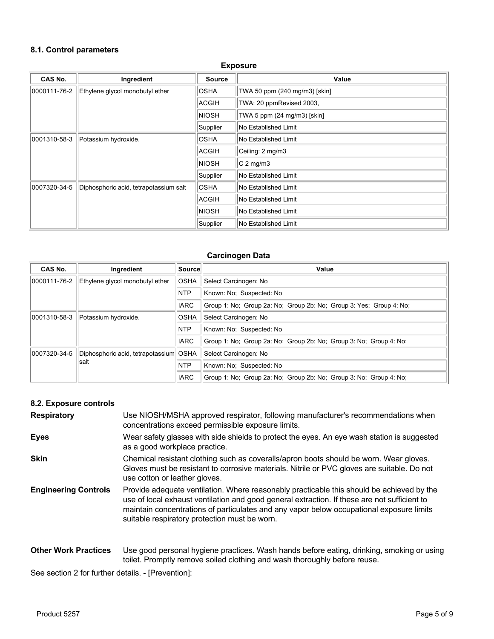### **8.1. Control parameters**

#### **Exposure**

| <b>CAS No.</b> | Ingredient                             | <b>Source</b> | Value                         |
|----------------|----------------------------------------|---------------|-------------------------------|
| 0000111-76-2   | Ethylene glycol monobutyl ether        | <b>OSHA</b>   | TWA 50 ppm (240 mg/m3) [skin] |
|                |                                        | ACGIH         | TWA: 20 ppmRevised 2003,      |
|                |                                        | <b>NIOSH</b>  | TWA 5 ppm (24 mg/m3) [skin]   |
|                |                                        | Supplier      | No Established Limit          |
| 0001310-58-3   | Potassium hydroxide.                   | <b>OSHA</b>   | No Established Limit          |
|                |                                        | <b>ACGIH</b>  | Ceiling: 2 mg/m3              |
|                |                                        | <b>NIOSH</b>  | $C2$ mg/m3                    |
|                |                                        | Supplier      | No Established Limit          |
| 0007320-34-5   | Diphosphoric acid, tetrapotassium salt | <b>OSHA</b>   | No Established Limit          |
|                |                                        | ACGIH         | No Established Limit          |
|                |                                        | <b>NIOSH</b>  | No Established Limit          |
|                |                                        | Supplier      | No Established Limit          |

#### **Carcinogen Data**

| <b>CAS No.</b> | Ingredient                             | ∣Source∣    | Value                                                               |
|----------------|----------------------------------------|-------------|---------------------------------------------------------------------|
| 0000111-76-2   | Ethylene glycol monobutyl ether        | <b>OSHA</b> | Select Carcinogen: No                                               |
|                |                                        | <b>NTP</b>  | Known: No: Suspected: No                                            |
|                |                                        | <b>IARC</b> | Group 1: No: Group 2a: No: Group 2b: No: Group 3: Yes: Group 4: No: |
| 0001310-58-3   | Potassium hydroxide.                   | <b>OSHA</b> | Select Carcinogen: No                                               |
|                |                                        | <b>NTP</b>  | Known: No: Suspected: No                                            |
|                |                                        | <b>IARC</b> | Group 1: No: Group 2a: No: Group 2b: No: Group 3: No: Group 4: No:  |
| 0007320-34-5   | Diphosphoric acid, tetrapotassium OSHA |             | Select Carcinogen: No                                               |
|                | salt                                   | <b>NTP</b>  | Known: No: Suspected: No                                            |
|                |                                        | <b>IARC</b> | Group 1: No: Group 2a: No: Group 2b: No: Group 3: No: Group 4: No:  |

# **8.2. Exposure controls**

| <b>Respiratory</b>          | Use NIOSH/MSHA approved respirator, following manufacturer's recommendations when<br>concentrations exceed permissible exposure limits.                                                                                                                                                                                                |
|-----------------------------|----------------------------------------------------------------------------------------------------------------------------------------------------------------------------------------------------------------------------------------------------------------------------------------------------------------------------------------|
| <b>Eyes</b>                 | Wear safety glasses with side shields to protect the eyes. An eye wash station is suggested<br>as a good workplace practice.                                                                                                                                                                                                           |
| <b>Skin</b>                 | Chemical resistant clothing such as coveralls/apron boots should be worn. Wear gloves.<br>Gloves must be resistant to corrosive materials. Nitrile or PVC gloves are suitable. Do not<br>use cotton or leather gloves.                                                                                                                 |
| <b>Engineering Controls</b> | Provide adequate ventilation. Where reasonably practicable this should be achieved by the<br>use of local exhaust ventilation and good general extraction. If these are not sufficient to<br>maintain concentrations of particulates and any vapor below occupational exposure limits<br>suitable respiratory protection must be worn. |

**Other Work Practices** Use good personal hygiene practices. Wash hands before eating, drinking, smoking or using toilet. Promptly remove soiled clothing and wash thoroughly before reuse.

See section 2 for further details. - [Prevention]: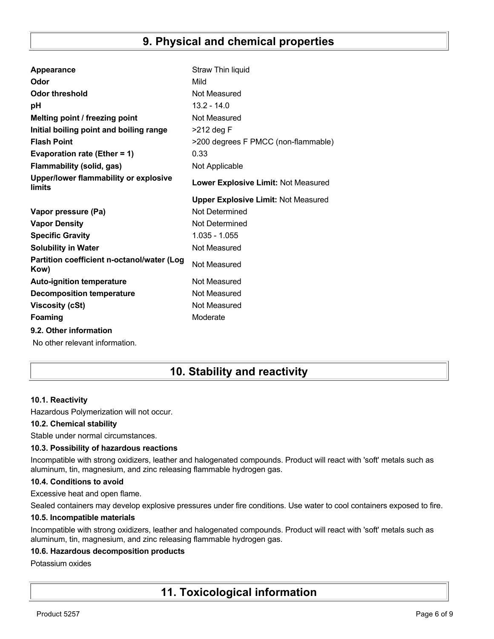# **9. Physical and chemical properties**

| Appearance                                         | Straw Thin liquid                          |
|----------------------------------------------------|--------------------------------------------|
| Odor                                               | Mild                                       |
| <b>Odor threshold</b>                              | Not Measured                               |
| рH                                                 | $13.2 - 14.0$                              |
| Melting point / freezing point                     | Not Measured                               |
| Initial boiling point and boiling range            | >212 deg F                                 |
| <b>Flash Point</b>                                 | >200 degrees F PMCC (non-flammable)        |
| Evaporation rate (Ether = 1)                       | 0.33                                       |
| <b>Flammability (solid, gas)</b>                   | Not Applicable                             |
| Upper/lower flammability or explosive<br>limits    | Lower Explosive Limit: Not Measured        |
|                                                    | <b>Upper Explosive Limit: Not Measured</b> |
| Vapor pressure (Pa)                                | Not Determined                             |
| <b>Vapor Density</b>                               | Not Determined                             |
| <b>Specific Gravity</b>                            | $1.035 - 1.055$                            |
| <b>Solubility in Water</b>                         |                                            |
|                                                    | Not Measured                               |
| Partition coefficient n-octanol/water (Log<br>Kow) | Not Measured                               |
| <b>Auto-ignition temperature</b>                   | Not Measured                               |
| <b>Decomposition temperature</b>                   | Not Measured                               |
| <b>Viscosity (cSt)</b>                             | Not Measured                               |
| Foaming                                            | Moderate                                   |
| 9.2. Other information                             |                                            |

# **10. Stability and reactivity**

## **10.1. Reactivity**

Hazardous Polymerization will not occur.

## **10.2. Chemical stability**

Stable under normal circumstances.

## **10.3. Possibility of hazardous reactions**

Incompatible with strong oxidizers, leather and halogenated compounds. Product will react with 'soft' metals such as aluminum, tin, magnesium, and zinc releasing flammable hydrogen gas.

#### **10.4. Conditions to avoid**

Excessive heat and open flame.

Sealed containers may develop explosive pressures under fire conditions. Use water to cool containers exposed to fire.

#### **10.5. Incompatible materials**

Incompatible with strong oxidizers, leather and halogenated compounds. Product will react with 'soft' metals such as aluminum, tin, magnesium, and zinc releasing flammable hydrogen gas.

#### **10.6. Hazardous decomposition products**

#### Potassium oxides

# **11. Toxicological information**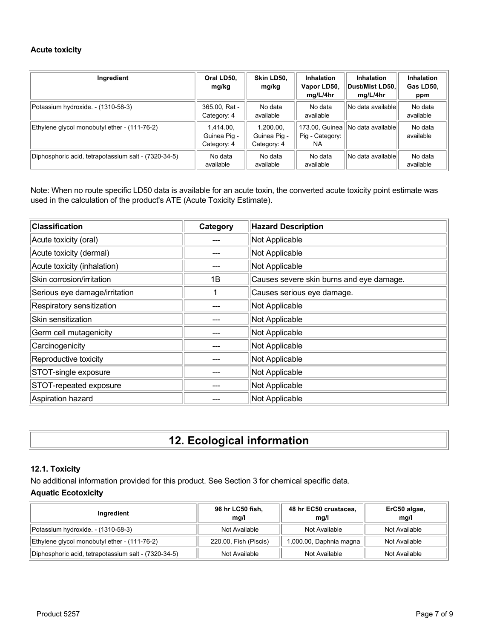#### **Acute toxicity**

| Ingredient                                           | Oral LD50,<br>mg/kg                      | Skin LD50,<br>mg/kg                      | <b>Inhalation</b><br>Vapor LD50,<br>mg/L/4hr | <b>Inhalation</b><br>∣Dust/Mist LD50.∣<br>mg/L/4hr | <b>Inhalation</b><br>Gas LD50,<br>ppm |
|------------------------------------------------------|------------------------------------------|------------------------------------------|----------------------------------------------|----------------------------------------------------|---------------------------------------|
| Potassium hydroxide. - (1310-58-3)                   | 365.00, Rat -<br>Category: 4             | No data<br>available                     | No data<br>available                         | No data available                                  | No data<br>available                  |
| Ethylene glycol monobutyl ether - (111-76-2)         | 1.414.00.<br>Guinea Pig -<br>Category: 4 | 1,200.00,<br>Guinea Pig -<br>Category: 4 | 173.00, Guinea   <br>Pig - Category:<br>NA.  | No data available                                  | No data<br>available                  |
| Diphosphoric acid, tetrapotassium salt - (7320-34-5) | No data<br>available                     | No data<br>available                     | No data<br>available                         | No data available                                  | No data<br>available                  |

Note: When no route specific LD50 data is available for an acute toxin, the converted acute toxicity point estimate was used in the calculation of the product's ATE (Acute Toxicity Estimate).

| <b>Classification</b>         | Category | <b>Hazard Description</b>                |
|-------------------------------|----------|------------------------------------------|
| Acute toxicity (oral)         |          | Not Applicable                           |
| Acute toxicity (dermal)       |          | Not Applicable                           |
| Acute toxicity (inhalation)   |          | Not Applicable                           |
| Skin corrosion/irritation     | 1B       | Causes severe skin burns and eye damage. |
| Serious eye damage/irritation |          | Causes serious eye damage.               |
| Respiratory sensitization     |          | Not Applicable                           |
| Skin sensitization            |          | Not Applicable                           |
| Germ cell mutagenicity        |          | Not Applicable                           |
| Carcinogenicity               |          | Not Applicable                           |
| Reproductive toxicity         |          | Not Applicable                           |
| STOT-single exposure          |          | Not Applicable                           |
| STOT-repeated exposure        |          | Not Applicable                           |
| Aspiration hazard             |          | Not Applicable                           |

# **12. Ecological information**

## **12.1. Toxicity**

No additional information provided for this product. See Section 3 for chemical specific data. **Aquatic Ecotoxicity**

| Ingredient                                           | 96 hr LC50 fish,<br>mq/l | 48 hr EC50 crustacea,<br>mq/l | ErC50 algae,<br>mg/l |
|------------------------------------------------------|--------------------------|-------------------------------|----------------------|
| Potassium hydroxide. - (1310-58-3)                   | Not Available            | Not Available                 | Not Available        |
| Ethylene glycol monobutyl ether - (111-76-2)         | 220.00, Fish (Piscis)    | 1,000.00, Daphnia magna       | Not Available        |
| Diphosphoric acid, tetrapotassium salt - (7320-34-5) | Not Available            | Not Available                 | Not Available        |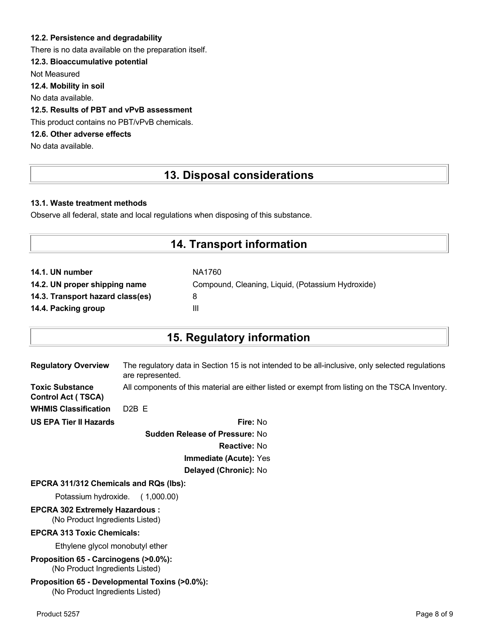### **12.2. Persistence and degradability**

There is no data available on the preparation itself.

## **12.3. Bioaccumulative potential**

Not Measured

**12.4. Mobility in soil**

No data available.

## **12.5. Results of PBT and vPvB assessment**

This product contains no PBT/vPvB chemicals.

# **12.6. Other adverse effects**

No data available.

# **13. Disposal considerations**

#### **13.1. Waste treatment methods**

Observe all federal, state and local regulations when disposing of this substance.

# **14. Transport information**

| 14.1. UN number                  | NA1760                                            |
|----------------------------------|---------------------------------------------------|
| 14.2. UN proper shipping name    | Compound, Cleaning, Liquid, (Potassium Hydroxide) |
| 14.3. Transport hazard class(es) | 8                                                 |
| 14.4. Packing group              | Ш                                                 |

# **15. Regulatory information**

|                               | <b>Curado - Delegge of Despective</b> No.                                                                            |
|-------------------------------|----------------------------------------------------------------------------------------------------------------------|
| <b>US EPA Tier II Hazards</b> | Fire: No                                                                                                             |
| <b>WHMIS Classification</b>   | $D2B$ F                                                                                                              |
| <b>Control Act (TSCA)</b>     |                                                                                                                      |
| <b>Toxic Substance</b>        | All components of this material are either listed or exempt from listing on the TSCA Inventory.                      |
| <b>Regulatory Overview</b>    | The regulatory data in Section 15 is not intended to be all-inclusive, only selected regulations<br>are represented. |
|                               |                                                                                                                      |

**Sudden Release of Pressure:** No **Reactive:** No **Immediate (Acute):** Yes **Delayed (Chronic):** No

#### **EPCRA 311/312 Chemicals and RQs (lbs):**

Potassium hydroxide. ( 1,000.00)

# **EPCRA 302 Extremely Hazardous :**

(No Product Ingredients Listed)

## **EPCRA 313 Toxic Chemicals:**

Ethylene glycol monobutyl ether

**Proposition 65 - Carcinogens (>0.0%):** (No Product Ingredients Listed)

#### **Proposition 65 - Developmental Toxins (>0.0%):** (No Product Ingredients Listed)